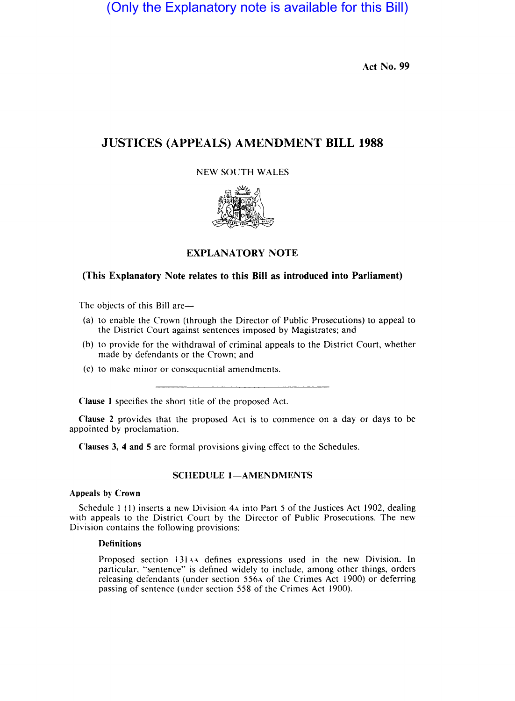(Only the Explanatory note is available for this Bill)

Act No. 99

# i JUSTICES (APPEALS) AMENDMENT BILL 1988

## **NEW SOUTH WALES**



# EXPLANATORY NOTE

# (This Explanatory Note relates to this Bill as introduced into Parliament)

The objects of this Bill are—

- (a) to enable the Crown (through the Director of Public Prosecutions) to appeal to the District Court against sentences imposed by Magistrates; and
- (b) to provide for the withdrawal of criminal appeals to the District Court, whether made by defendants or the Crown; and
- (c) to make minor or consequential amendments.

Clause 1 specifies the short title of the proposed Act.

Clause 2 provides that the proposed Act is to commence on a day or days to be appointed by proclamation.

Clauses 3, 4 and 5 are formal provisions giving effect to the Schedules.

i

## SCHEDULE 1-AMENDMENTS

### Appeals by Crown \

Schedule  $1$  (1) inserts a new Division  $4\lambda$  into Part 5 of the Justices Act 1902, dealing with appeals to the District Court by \the Director of Public Prosecutions. The new Division contains the following provisions:

# **Definitions**

Proposed section 131AA defines expressions used in the new Division. In particular, "sentence" is defined widely to include, among other things, orders releasing defendants (under section 556A of the Crimes Act 1900) or deferring passing of sentence (under section 558 of the Crimes Act 1900).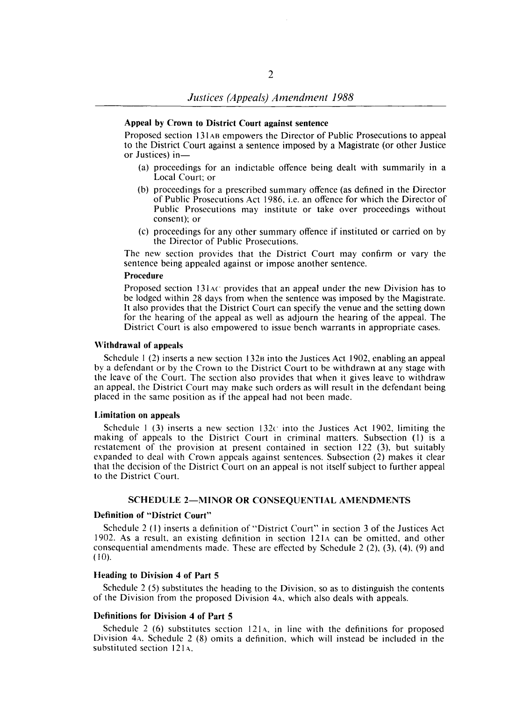### Appeal by Crown to District Court against sentence

Proposed section 131 AB empowers the Director of Public Prosecutions to appeal to the District Court against a sentence imposed by a Magistrate (or other Justice or Justices) in-

- (a) proceedings for an indictable offence being dealt with summarily in a Local Court: or
- (b) proceedings for a prescribed summary offence (as defined in the Director of Public Prosecutions Act 1986, i.e. an offence for which the Director of Public Prosecutions may institute or take over proceedings without consent): or
- (c) proceedings for any other summary offence if instituted or carried on by the Director of Public Prosecutions.

The new section provides that the District Court may confirm or vary the sentence being appealed against or impose another sentence.

### Procedure

Proposed section 131 AC provides that an appeal under the new Division has to be lodged within 28 days from when the sentence was imposed by the Magistrate. It also provides that the District Court can specify the venue and the setting down for the hearing of the appeal as well as adjourn the hearing of the appeal. The District Court is also empowered to issue bench warrants in appropriate cases.

#### Withdrawal of appeals

Schedule 1 (2) inserts a new section 132B into the Justices Act 1902, enabling an appeal by a defendant or by the Crown to the District Court to be withdrawn at any stage with the leave of the Court. The section also provides that when it gives leave to withdraw an appeal, the District Court may make such orders as will result in the defendant being placed in the same position as if the appeal had not been made.

#### Limitation on appeals

Schedule 1 (3) inserts a new section  $132c$  into the Justices Act 1902, limiting the making of appeals to the District Court in criminal matters. Subsection (1) is a restatement of the provision at present contained in section 122 (3), but suitably expanded to deal with Crown appeals against sentences. Subsection (2) makes it clear that the decision of the District Court on an appeal is not itself subject to further appeal to the District Court.

### SCHEDULE 2-MINOR OR CONSEQUENTIAL AMENDMENTS

### Definition of "District Court"

Schedule 2 (I) inserts a definition of "District Court" in section 3 of the Justices Act 1902. As a result, an existing definition in section  $121A$  can be omitted, and other consequential amendments made. These are effected by Schedule 2 (2), (3), (4), (9) and (10).

### Heading to Division 4 of Part 5

Schedule 2 (5) substitutes the heading to the Division, so as to distinguish the contents of the Division from the proposed Division 4A, which also deals with appeals.

### Definitions for Division 4 of Part 5

Schedule 2 (6) substitutes section  $121A$ , in line with the definitions for proposed Division 4A. Schedule 2 (8) omits a definition, which will instead be included in the substituted section 121A.